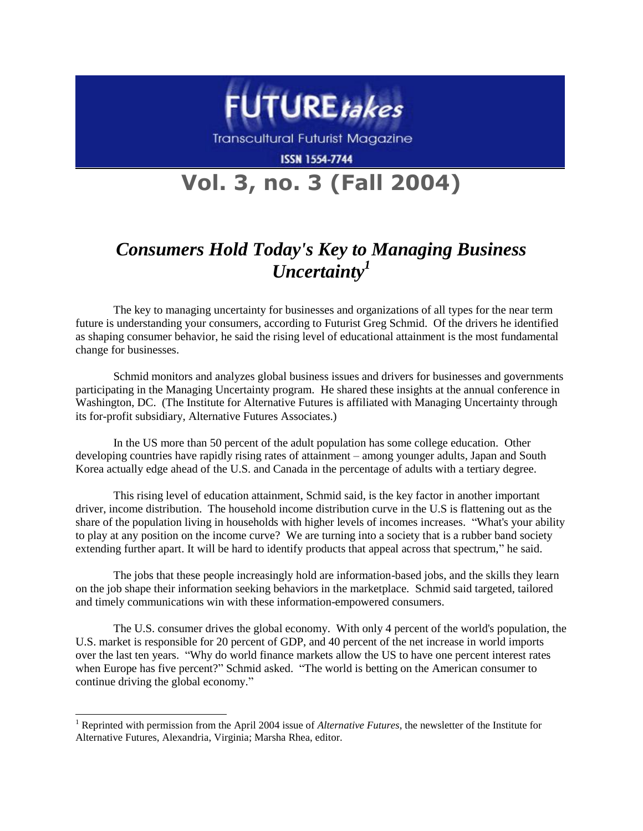

**Transcultural Futurist Magazine** 

**ISSN 1554-7744** 

## **Vol. 3, no. 3 (Fall 2004)**

## *Consumers Hold Today's Key to Managing Business Uncertainty<sup>1</sup>*

The key to managing uncertainty for businesses and organizations of all types for the near term future is understanding your consumers, according to Futurist Greg Schmid. Of the drivers he identified as shaping consumer behavior, he said the rising level of educational attainment is the most fundamental change for businesses.

Schmid monitors and analyzes global business issues and drivers for businesses and governments participating in the Managing Uncertainty program. He shared these insights at the annual conference in Washington, DC. (The Institute for Alternative Futures is affiliated with Managing Uncertainty through its for-profit subsidiary, Alternative Futures Associates.)

In the US more than 50 percent of the adult population has some college education. Other developing countries have rapidly rising rates of attainment – among younger adults, Japan and South Korea actually edge ahead of the U.S. and Canada in the percentage of adults with a tertiary degree.

This rising level of education attainment, Schmid said, is the key factor in another important driver, income distribution. The household income distribution curve in the U.S is flattening out as the share of the population living in households with higher levels of incomes increases. "What's your ability to play at any position on the income curve? We are turning into a society that is a rubber band society extending further apart. It will be hard to identify products that appeal across that spectrum," he said.

The jobs that these people increasingly hold are information-based jobs, and the skills they learn on the job shape their information seeking behaviors in the marketplace. Schmid said targeted, tailored and timely communications win with these information-empowered consumers.

The U.S. consumer drives the global economy. With only 4 percent of the world's population, the U.S. market is responsible for 20 percent of GDP, and 40 percent of the net increase in world imports over the last ten years. "Why do world finance markets allow the US to have one percent interest rates when Europe has five percent?" Schmid asked. "The world is betting on the American consumer to continue driving the global economy."

l

<sup>1</sup> Reprinted with permission from the April 2004 issue of *Alternative Futures*, the newsletter of the Institute for Alternative Futures, Alexandria, Virginia; Marsha Rhea, editor.